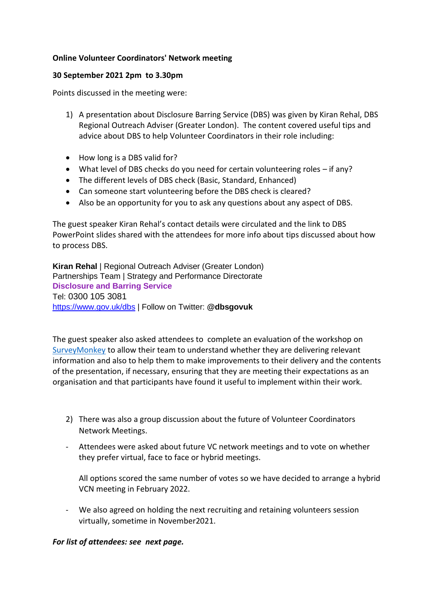## **Online Volunteer Coordinators' Network meeting**

## **30 September 2021 2pm to 3.30pm**

Points discussed in the meeting were:

- 1) A presentation about Disclosure Barring Service (DBS) was given by Kiran Rehal, DBS Regional Outreach Adviser (Greater London). The content covered useful tips and advice about DBS to help Volunteer Coordinators in their role including:
- How long is a DBS valid for?
- What level of DBS checks do you need for certain volunteering roles if any?
- The different levels of DBS check (Basic, Standard, Enhanced)
- Can someone start volunteering before the DBS check is cleared?
- Also be an opportunity for you to ask any questions about any aspect of DBS.

The guest speaker Kiran Rehal's contact details were circulated and the link to DBS PowerPoint slides shared with the attendees for more info about tips discussed about how to process DBS.

**Kiran Rehal** | Regional Outreach Adviser (Greater London) Partnerships Team | Strategy and Performance Directorate **Disclosure and Barring Service** Tel: 0300 105 3081 [https://www.gov.uk/dbs](https://eur01.safelinks.protection.outlook.com/?url=https%3A%2F%2Fwww.gov.uk%2Fdbs&data=04%7C01%7CMarie.Haugaard%40dbs.gov.uk%7Ca4a69027e5754d2b965108d88199b9e7%7Cf24d93ecb2914192a08af182245945c2%7C0%7C0%7C637401844525913836%7CUnknown%7CTWFpbGZsb3d8eyJWIjoiMC4wLjAwMDAiLCJQIjoiV2luMzIiLCJBTiI6Ik1haWwiLCJXVCI6Mn0%3D%7C1000&sdata=aVHEpnL9dhthpVTQqgTUU78WuhBrugYK9tCPVm%2B%2BnjU%3D&reserved=0) | Follow on Twitter: **@dbsgovuk**

The guest speaker also asked attendees to complete an evaluation of the workshop on [SurveyMonkey](https://gbr01.safelinks.protection.outlook.com/?url=https%3A%2F%2Fwww.surveymonkey.co.uk%2Fr%2F2N3RWX2&data=04%7C01%7CKiranpreet.Rehal%40dbs.gov.uk%7C5a0588d463ff494ba87708d9826672e6%7Cf24d93ecb2914192a08af182245945c2%7C0%7C0%7C637684198798860764%7CUnknown%7CTWFpbGZsb3d8eyJWIjoiMC4wLjAwMDAiLCJQIjoiV2luMzIiLCJBTiI6Ik1haWwiLCJXVCI6Mn0%3D%7C1000&sdata=t1pjnH7Ao6TGOaEiNQuASUplmz70I6yrmKCKzAVSQKc%3D&reserved=0) to allow their team to understand whether they are delivering relevant information and also to help them to make improvements to their delivery and the contents of the presentation, if necessary, ensuring that they are meeting their expectations as an organisation and that participants have found it useful to implement within their work.

- 2) There was also a group discussion about the future of Volunteer Coordinators Network Meetings.
- Attendees were asked about future VC network meetings and to vote on whether they prefer virtual, face to face or hybrid meetings.

All options scored the same number of votes so we have decided to arrange a hybrid VCN meeting in February 2022.

- We also agreed on holding the next recruiting and retaining volunteers session virtually, sometime in November2021.

## *For list of attendees: see next page.*